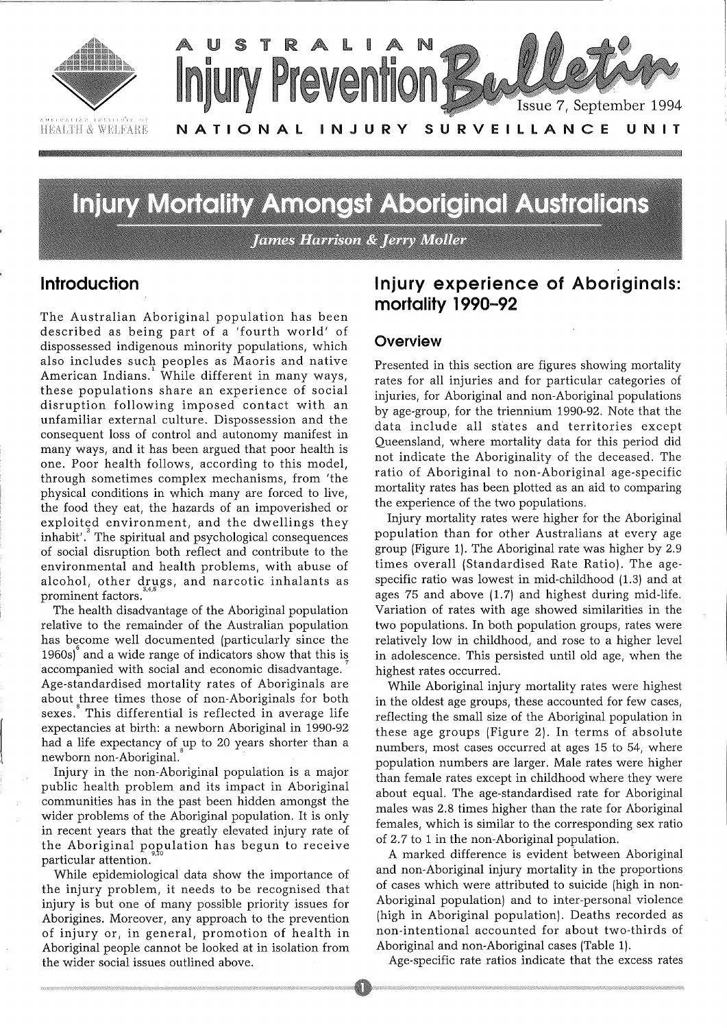

# **Injury Mortality Amongst Aboriginal Australians**

**James Harrison & Jerry Moller** 

### **Introduction**

The Australian Aboriginal population has been described as being part of a 'fourth world' of dispossessed indigenous minority populations, which also includes such peoples as Maoris and native 1 American Indians. While different in many ways, these populations share an experience of social disruption following imposed contact with an unfamiliar external culture. Dispossession and the consequent loss of control and autonomy manifest in many ways, and it has been argued that poor health is one. Poor health follows, according to this model, through sometimes complex mechanisms, from 'the physical conditions in which many are forced to live, the food they eat, the hazards of an impoverished or exploited environment, and the dwellings they inhabit'. The spiritual and psychological consequences of social disruption both reflect and contribute to the environmental and health problems, with abuse of alcohol, other drugs, and narcotic inhalants as prominent factors.

The health disadvantage of the Aboriginal population relative to the remainder of the Australian population has become well documented (particularly since the 1960s) and a wide range of indicators show that this is *7*  accompanied with social and economic disadvantage. Age-standardised mortality rates of Aboriginals are about three times those of non-Aboriginals for both sexes. This differential is reflected in average life expectancies at birth: a newborn Aboriginal in 1990-92 had a life expectancy of up to 20 years shorter than a newborn non-Aboriginal. <sup>8</sup>

Injury in the non-Aboriginal population is a major public health problem and its impact in Aboriginal communities has in the past been hidden amongst the wider problems of the Aboriginal population. It is only in recent years that the greatly elevated injury rate of the Aboriginal population has begun to receive particular attention.

While epidemiological data show the importance of the injury problem, it needs to be recognised that injury is but one of many possible priority issues for Aborigines. Moreover, any approach to the prevention of injury or, in general, promotion of health in Aboriginal people cannot be looked at in isolation from the wider social issues outlined above.

### **Injury experience of Aboriginals: mortality 1990-92**

#### **Overview**

Presented in this section are figures showing mortality rates for all injuries and for particular categories of injuries, for Aboriginal and non-Aboriginal populations by age-group, for the triennium 1990-92. Note that the data include all states and territories except Queensland, where mortality data for this period did not indicate the Aboriginality of the deceased. The ratio of Aboriginal to non-Aboriginal age-specific mortality rates has been plotted as an aid to comparing the experience of the two populations.

Injury mortality rates were higher for the Aboriginal population than for other Australians at every age group (Figure 1). The Aboriginal rate was higher by 2.9 times overall (Standardised Rate Ratio). The agespecific ratio was lowest in mid-childhood (1.3) and at ages 75 and above (1.7) and highest during mid-life. Variation of rates with age showed similarities in the two populations. In both population groups, rates were relatively low in childhood, and rose to a higher level in adolescence. This persisted until old age, when the highest rates occurred.

While Aboriginal injury mortality rates were highest in the oldest age groups, these accounted for few cases, reflecting the small size of the Aboriginal population in these age groups (Figure 2). In terms of absolute numbers, most cases occurred at ages 15 to 54, where population numbers are larger. Male rates were higher than female rates except in childhood where they were about equal. The age-standardised rate for Aboriginal males was 2.8 times higher than the rate for Aboriginal females, which is similar to the corresponding sex ratio of 2.7 to 1 in the non-Aboriginal population.

A marked difference is evident between Aboriginal and non-Aboriginal injury mortality in the proportions of cases which were attributed to suicide (high in non-Aboriginal population) and to inter-personal violence (high in Aboriginal population). Deaths recorded as non-intentional accounted for about two-thirds of Aboriginal and non-Aboriginal cases (Table 1).

Age-specific rate ratios indicate that the excess rates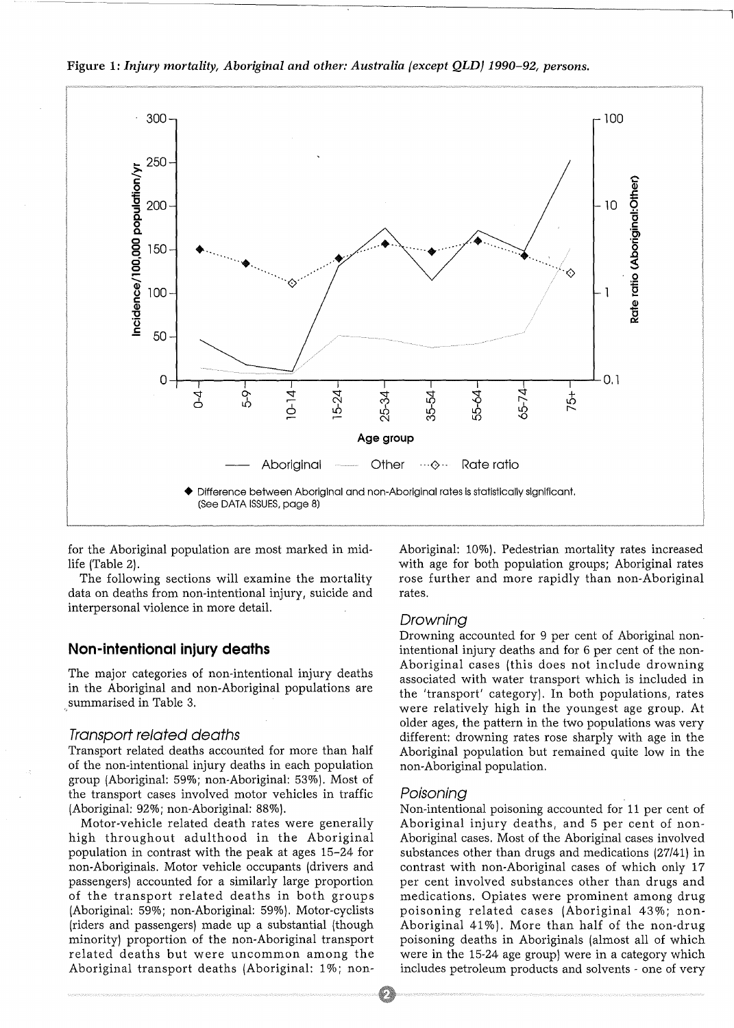

Figure 1: *Injury mortality, Aboriginal and other: Australia (except QLD) 1990-92, persons.* 

for the Aboriginal population are most marked in midlife (Table 2).

The following sections will examine the mortality data on deaths from non-intentional injury, suicide and interpersonal violence in more detail.

#### **Non-intentional injury deaths**

., summarised in Table 3. The major categories of non-intentional injury deaths in the Aboriginal and non-Aboriginal populations are

#### Transport related deaths

Transport related deaths accounted for more than half of the non-intentional injury deaths in each population group (Aboriginal: 59%; non-Aboriginal: 53%). Most of the transport cases involved motor vehicles in traffic (Aboriginal: 92%; non-Aboriginal: 88%).

Motor-vehicle related death rates were generally high throughout adulthood in the Aboriginal population in contrast with the peak at ages 15-24 for non-Aboriginals. Motor vehicle occupants (drivers and passengers) accounted for a similarly large proportion of the transport related deaths in both groups (Aboriginal: 59%; non-Aboriginal: 59%). Motor-cyclists (riders and passengers) made up a substantial (though minority) proportion of the non-Aboriginal transport related deaths but were uncommon among the Aboriginal transport deaths (Aboriginal: 1%; nonAboriginal: 10%). Pedestrian mortality rates increased with age for both population groups; Aboriginal rates rose further and more rapidly than non-Aboriginal rates.

#### Drowning

Drowning accounted for 9 per cent of Aboriginal nonintentional injury deaths and for 6 per cent of the non-Aboriginal cases (this does not include drowning associated with water transport which is included in the 'transport' category). In both populations, rates were relatively high in the youngest age group. At older ages, the pattern in the two populations was very different: drowning rates rose sharply with age in the Aboriginal population but remained quite low in the non-Aboriginal population.

#### Poisoning

Non-intentional poisoning accounted for 11 per cent of Aboriginal injury deaths, and 5 per cent of non-Aboriginal cases. Most of the Aboriginal cases involved substances other than drugs and medications (27/41) in contrast with non-Aboriginal cases of which only 17 per cent involved substances other than drugs and medications. Opiates were prominent among drug poisoning related cases (Aboriginal 43%; non-Aboriginal  $41\%$ ). More than half of the non-drug poisoning deaths in Aboriginals (almost all of which were in the 15-24 age group) were in a category which includes petroleum products and solvents - one of very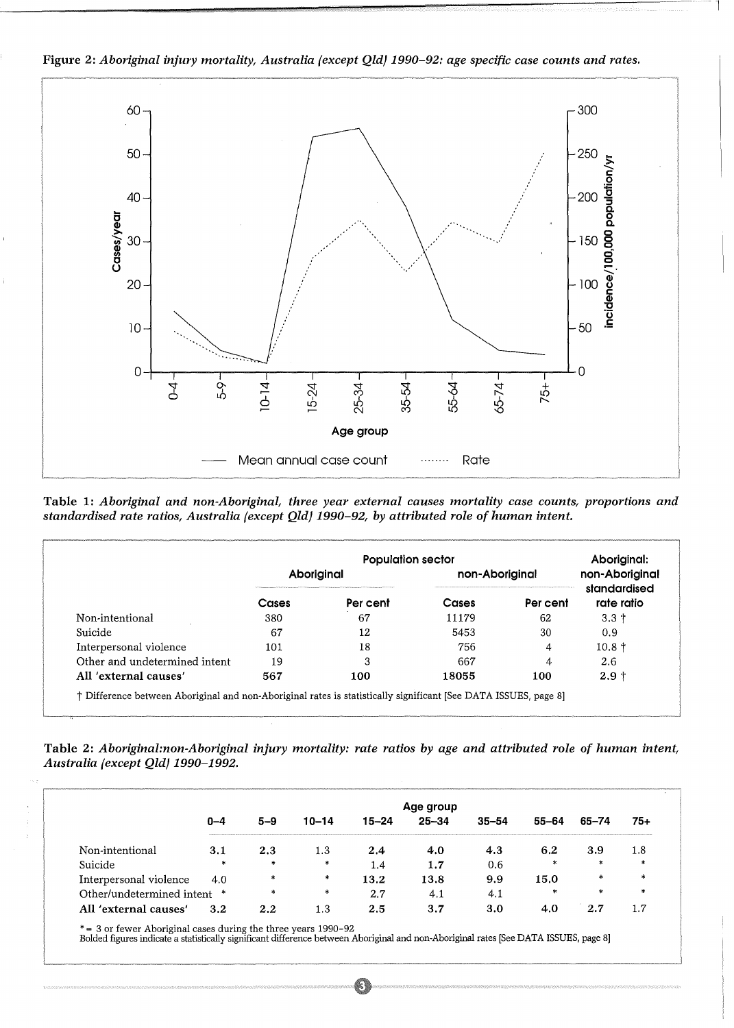

Figure 2: *Aboriginal injury mortality, Australia {except Qld} 1990-92: age specific case counts and rates.* 

l

Table 1: *Aboriginal and non-Aboriginal, three year external causes mortality case counts, proportions and standardised rate ratios, Australia {except Qld} 1990-92, by attributed role of human intent.* 

|                               | <b>Population sector</b> |          |                |          | Aboriginal:                    |
|-------------------------------|--------------------------|----------|----------------|----------|--------------------------------|
|                               | Aboriginal               |          | non-Aboriginal |          | non-Aboriginal<br>standardised |
|                               | Cases                    | Per cent | Cases          | Per cent | rate ratio                     |
| Non-intentional               | 380                      | 67       | 11179          | 62       | $3.3 +$                        |
| Suicide                       | -67                      | 12       | 5453           | 30       | 0.9                            |
| Interpersonal violence        | 101                      | 18       | 756            | 4        | $10.8 +$                       |
| Other and undetermined intent | 19                       | З        | 667            | 4        | 2.6                            |
| All 'external causes'         | 567                      | 100      | 18055          | 100      | $2.9 +$                        |

Table 2: *Aboriginal:non-Aboriginal injury mortality: rate ratios by age and attributed role of human intent, Australia (except Qld} 1990-1992.* 

|                           | Age group |        |           |           |           |           |        |         |        |
|---------------------------|-----------|--------|-----------|-----------|-----------|-----------|--------|---------|--------|
|                           | 0–4       | 5–9    | $10 - 14$ | $15 - 24$ | $25 - 34$ | $35 - 54$ | 55-64  | 65–74   | 75+    |
| Non-intentional           | 3.1       | 2.3    | 1.3       | 2.4       | 4.0       | 4.3       | 6.2    | 3.9     | . . 8  |
| Suicide                   | $\ast$    | $\ast$ | $\star$   | 1.4       | 1.7       | 0.6       | $\ast$ | *       | *      |
| Interpersonal violence    | 4.0       | 牽      | *         | 13.2      | 13.8      | 9.9       | 15.0   | ж       | $\ast$ |
| Other/undetermined intent | *         | $\ast$ | ∗         | 2.7       | 4.1       | -4.       | *      | $\star$ | $\ast$ |
| All 'external causes'     | 3.2       | 2.2    | 1.3       | 2.5       | 3.7       | 3.0       | 4.0    | 2.7     | 1.7    |

\* = 3 or fewer Aboriginal cases during the three years 1990-92 Bolded figures indicate a statistically significant difference between Aboriginal and non-Aboriginal rates [See DATA ISSUES, page 8]

O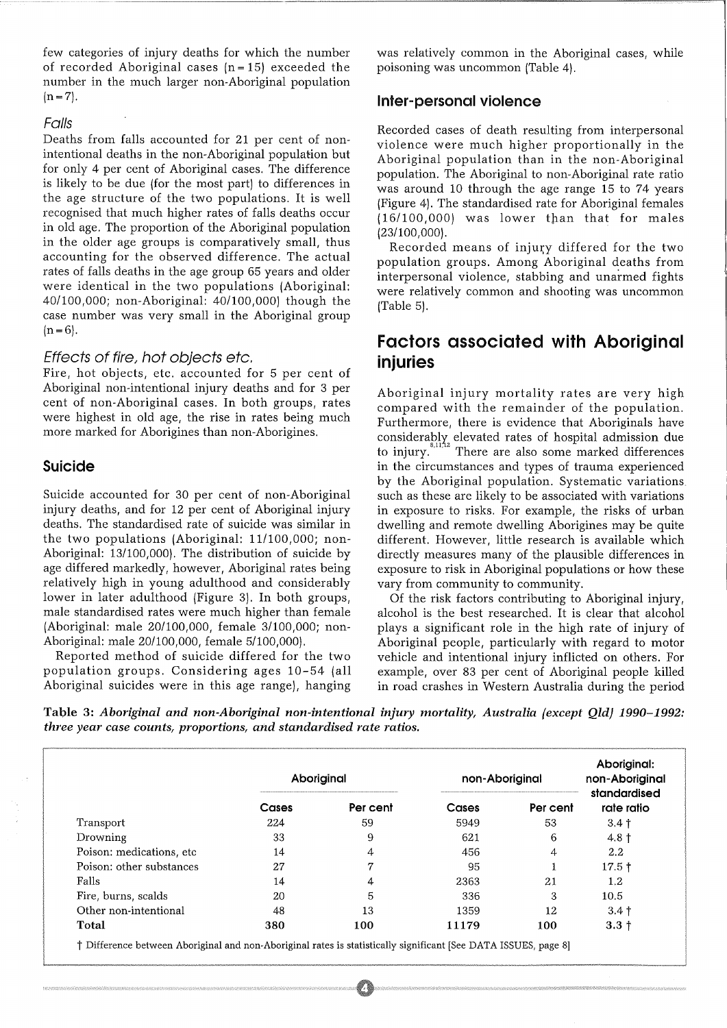few categories of injury deaths for which the number of recorded Aboriginal cases  $(n = 15)$  exceeded the number in the much larger non-Aboriginal population  $(n=7)$ .

#### Falls

Deaths from falls accounted for 21 per cent of nonintentional deaths in the non-Aboriginal population but for only 4 per cent of Aboriginal cases. The difference is likely to be due (for the most part) to differences in the age structure of the two populations. It is well recognised that much higher rates of falls deaths occur in old age. The proportion of the Aboriginal population in the older age groups is comparatively small, thus accounting for the observed difference. The actual rates of falls deaths in the age group 65 years and older were identical in the two populations (Aboriginal: 40/100,000; non-Aboriginal: 40/100,000) though the case number was very small in the Aboriginal group  $(n=6)$ .

#### Effects of fire, hot objects etc.

Fire, hot objects, etc. accounted for 5 per cent of Aboriginal non-intentional injury deaths and for 3 per cent of non-Aboriginal cases. In both groups, rates were highest in old age, the rise in rates being much more marked for Aborigines than non-Aborigines.

#### Suicide

Suicide accounted for 30 per cent of non-Aboriginal injury deaths, and for 12 per cent of Aboriginal injury deaths. The standardised rate of suicide was similar in the two populations (Aboriginal: 11/100,000; non-Aboriginal: 13/100,000). The distribution of suicide by age differed markedly, however, Aboriginal rates being relatively high in young adulthood and considerably lower in later adulthood (Figure 3). In both groups, male standardised rates were much higher than female (Aboriginal: male 20/100,000, female 3/100,000; non-Aboriginal: male 20/100,000, female 5/100,000).

Reported method of suicide differed for the two population groups. Considering ages 10-54 (all Aboriginal suicides were in this age range), hanging was relatively common in the Aboriginal cases, while poisoning was uncommon (Table 4).

#### Inter-personal violence

Recorded cases of death resulting from interpersonal violence were much higher proportionally in the Aboriginal population than in the non-Aboriginal population. The Aboriginal to non-Aboriginal rate ratio was around 10 through the age range 15 to 74 years (Figure 4). The standardised rate for Aboriginal females (16/100,000) was lower t}lan that for males (23/100,000).

Recorded means of injury differed for the two population groups. Among Aboriginal deaths from interpersonal violence, stabbing and unarmed fights were relatively common and shooting was uncommon (Table 5).

### Factors associated with Aboriginal injuries

Aboriginal injury mortality rates are very high compared with the remainder of the population. Furthermore, there is evidence that Aboriginals have considerabl); elevated rates of hospital admission due to injury.<sup>8,</sup> 11  $2^{2}$  There are also some marked differences in the circumstances and types of trauma experienced by the Aboriginal population. Systematic variations such as these are likely to be associated with variations in exposure to risks. For example, the risks of urban dwelling and remote dwelling Aborigines may be quite different. However, little research is available which directly measures many of the plausible differences in exposure to risk in Aboriginal populations or how these vary from community to community.

Of the risk factors contributing to Aboriginal injury, alcohol is the best researched. It is clear that alcohol plays a significant role in the high rate of injury of Aboriginal people, particularly with regard to motor vehicle and intentional injury inflicted on others. For example, over 83 per cent of Aboriginal people killed in road crashes in Western Australia during the period

Table 3: *Aboriginal and non-Aboriginal non-intentional injury mortality, Australia {except QldJ 1990-1992: three year case counts, proportions, and standardised rate ratios.* 

|                           | Aboriginal |          | non-Aboriginal |          | Aboriginal:<br>non-Aboriginal<br>standardised |  |
|---------------------------|------------|----------|----------------|----------|-----------------------------------------------|--|
|                           | Cases      | Per cent | Cases          | Per cent | rate ratio                                    |  |
| Transport                 | 224        | 59       | 5949           | 53       | $3.4 +$                                       |  |
| Drowning                  | 33         | 9        | 621            | 6        | $4.8 \text{ }^{\text{+}}$                     |  |
| Poison: medications, etc. | 14         | 4        | 456            | 4        | 2.2                                           |  |
| Poison: other substances  | 27         | 7        | 95             |          | $17.5 +$                                      |  |
| Falls                     | 14         |          | 2363           | 21       | $1.2\,$                                       |  |
| Fire, burns, scalds       | 20         | 5        | 336            | 3        | 10.5                                          |  |
| Other non-intentional     | 48         | 13       | 1359           | 12       | $3.4 +$                                       |  |
| Total                     | 380        | 100      | 11179          | 100      | $3.3 +$                                       |  |

t Difference between Aboriginal and non-Aboriginal rates is statistically significant [See DATA ISSUES, page 8]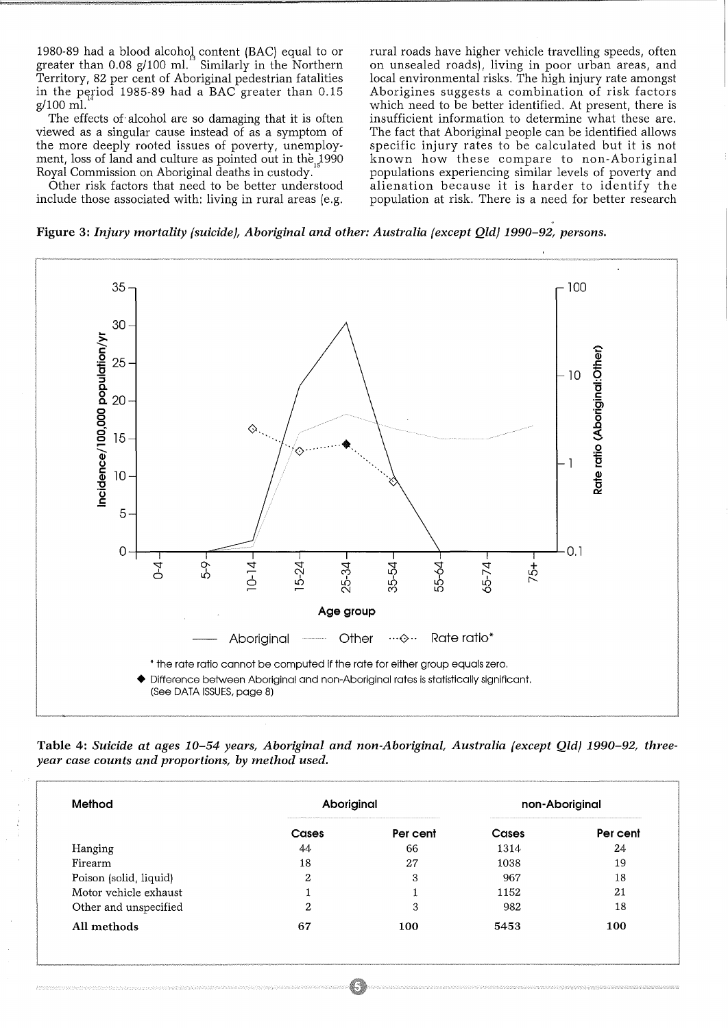1980-89 had a blood alcohol content (BAC) equal to or greater than 0.08 g/100 ml." Similarly in the Northern Territory, 82 per cent of Aboriginal pedestrian fatalities in the period 1985-89 had a BAC greater than  $0.15$ g/100 ml.

The effects of alcohol are so damaging that it is often viewed as a singular cause instead of as a symptom of the more deeply rooted issues of poverty, unemployment, loss of land and culture as pointed out in the 1990 Royal Commission on Aboriginal deaths in custody.

Other risk factors that need to be better understood include those associated with: living in rural areas (e.g. rural roads have higher vehicle travelling speeds, often on unsealed roads), living in poor urban areas, and local environmental risks. The high injury rate amongst Aborigines suggests a combination of risk factors which need to be better identified. At present, there is insufficient information to determine what these are. The fact that Aboriginal people can be identified allows specific injury rates to be calculated but it is not known how these compare to non-Aboriginal populations experiencing similar levels of poverty and alienation because it is harder to identify the population at risk. There is a need for better research

Figure 3: *Injury mortality {suicide}, Aboriginal and other: Australia {except Qld} 1990-92, persons.* 



Table 4: *Suicide at ages 10-54 years, Aboriginal and non-Aboriginal, Australia {except Qld} 1990-92, threeyear case counts and proportions, by method used.* 

| Method                 | Aboriginal | Auto produce a statement of the Performance former commencement conservation or an exam an exam an exam an exam an exam an exam an example of example and property and | non-Aboriginal<br>CONTRACTOR CONTRACTOR CONTRACTOR CONTRACTOR CONTRACTOR CONTRACTOR CONTRACTOR CONTRACTOR CONTRACTOR CONTRACTOR CONTRACTOR CONTRACTOR CONTRACTOR CONTRACTOR |          |
|------------------------|------------|------------------------------------------------------------------------------------------------------------------------------------------------------------------------|-----------------------------------------------------------------------------------------------------------------------------------------------------------------------------|----------|
|                        | Cases      | Per cent                                                                                                                                                               | Cases                                                                                                                                                                       | Per cent |
| Hanging                | 44         | 66                                                                                                                                                                     | 1314                                                                                                                                                                        | 24       |
| Firearm                | 18         | 27                                                                                                                                                                     | 1038                                                                                                                                                                        | 19       |
| Poison (solid, liquid) | ≘          | 3                                                                                                                                                                      | 967                                                                                                                                                                         | 18       |
| Motor vehicle exhaust  |            |                                                                                                                                                                        | 1152                                                                                                                                                                        | 21       |
| Other and unspecified  | റ<br>∠     | 3                                                                                                                                                                      | 982                                                                                                                                                                         | 18       |
| All methods            | 67         | 100                                                                                                                                                                    | 5453                                                                                                                                                                        | 100      |

(1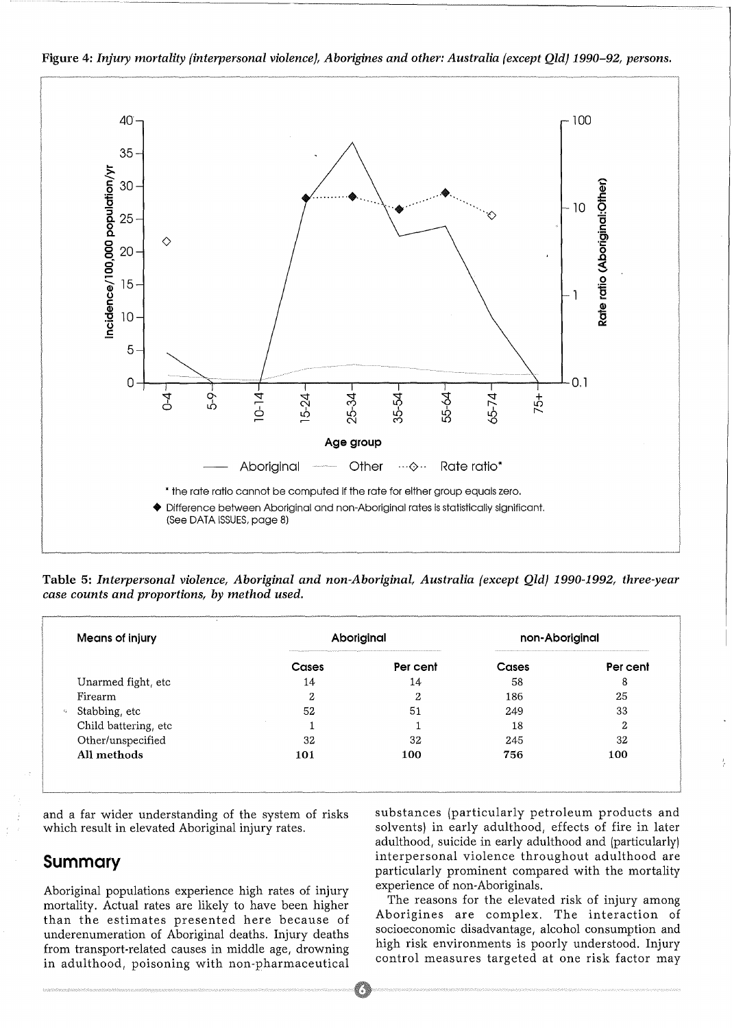

Figure 4: *Injury mortality {interpersonal violence), Aborigines and other: Australia {except Qld) 1990-92, persons.* 

Table *5: Interpersonal violence, Aboriginal and non-Aboriginal, Australia (except Qld) 1990-1992, three-year case counts and proportions, by method used.* 

| <b>Means of injury</b> |       | Aboriginal      | non-Aboriginal<br>A 12 YO FEMALE REPORTED A 4 YO FEMALE RELEASED FOR THE CALLAGE WITH STATE RELEASED FOR A 24 YO FEMALE RELEASED |          |  |
|------------------------|-------|-----------------|----------------------------------------------------------------------------------------------------------------------------------|----------|--|
|                        | Cases | Per cent        | Cases                                                                                                                            | Per cent |  |
| Unarmed fight, etc     | 14    | 14              | 58                                                                                                                               | 8        |  |
| Firearm                | פ     | ົ<br>$\epsilon$ | 186                                                                                                                              | 25       |  |
| Stabbing, etc          | 52    | 51              | 249                                                                                                                              | 33       |  |
| Child battering, etc   |       |                 | 18                                                                                                                               | n<br>∠   |  |
| Other/unspecified      | 32    | 32              | 245                                                                                                                              | 32       |  |
| All methods            | 101   | 100             | 756                                                                                                                              | 100      |  |

and a far wider understanding of the system of risks which result in elevated Aboriginal injury rates.

### **Summary**

Aboriginal populations experience high rates of injury mortality. Actual rates are likely to have been higher than the estimates presented here because of underenumeration of Aboriginal deaths. Injury deaths from transport-related causes in middle age, drowning in adulthood, poisoning with non-pharmaceutical substances (particularly petroleum products and solvents) in early adulthood, effects of fire in later adulthood, suicide in early adulthood and (particularly) interpersonal violence throughout adulthood are particularly prominent compared with the mortality experience of non-Aboriginals.

The reasons for the elevated risk of injury among Aborigines are complex. The interaction of socioeconomic disadvantage, alcohol consumption and high risk environments is poorly understood. Injury control measures targeted at one risk factor may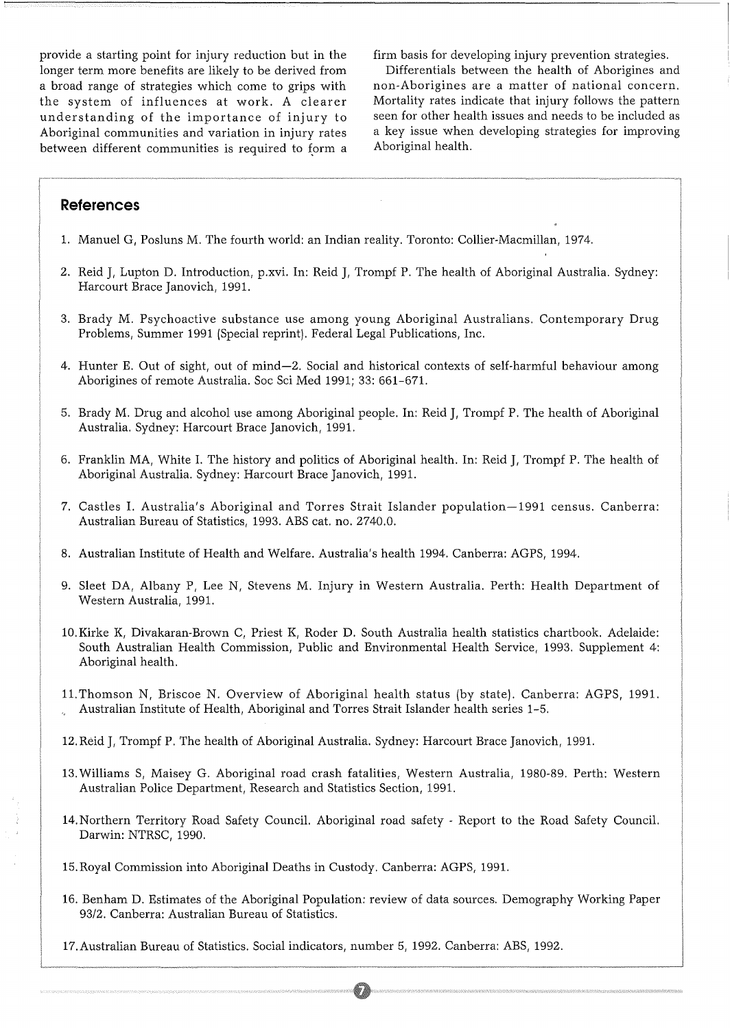provide a starting point for injury reduction but in the longer term more benefits are likely to be derived from a broad range of strategies which come to grips with the system of influences at work. A clearer understanding of the importance of injury to Aboriginal communities and variation in injury rates between different communities is required to form a firm basis for developing injury prevention strategies.

Differentials between the health of Aborigines and non-Aborigines are a matter of national concern. Mortality rates indicate that injury follows the pattern seen for other health issues and needs to be included as a key issue when developing strategies for improving Aboriginal health.

#### **References**

- 1. Manuel G, Posluns M. The fourth world: an Indian reality. Toronto: Collier-Macmillan, 1974.
- 2. Reid J, Lupton D. Introduction, p.xvi. In: Reid J, Trompf P. The health of Aboriginal Australia. Sydney: Harcourt Brace Janovich, 1991.
- 3. Brady M. Psychoactive substance use among young Aboriginal Australians. Contemporary Drug Problems, Summer 1991 (Special reprint). Federal Legal Publications, Inc.
- 4. Hunter E. Out of sight, out of mind-2. Social and historical contexts of self-harmful behaviour among Aborigines of remote Australia. Soc Sci Med 1991; 33: 661-671.
- 5. Brady M. Drug and alcohol use among Aboriginal people. In: Reid J, Trompf P. The health of Aboriginal Australia. Sydney: Harcourt Brace Janovich, 1991.
- 6. Franklin MA, White I. The history and politics of Aboriginal health. In: Reid J, Trompf P. The health of Aboriginal Australia. Sydney: Harcourt Brace Janovich, 1991.
- 7. Castles I. Australia's Aboriginal and Torres Strait Islander population-1991 census. Canberra: Australian Bureau of Statistics, 1993. ABS cat. no. 2740.0.
- 8. Australian Institute of Health and Welfare. Australia's health 1994. Canberra: AGPS, 1994.
- 9. Sleet DA, Albany P, Lee N, Stevens M. Injury in Western Australia. Perth: Health Department of Western Australia, 1991.
- 10.Kirke K, Divakaran-Brown C, Priest K, Roder D. South Australia health statistics chartbook. Adelaide: South Australian Health Commission, Public and Environmental Health Service, 1993. Supplement 4: Aboriginal health.
- 11.Thomson N, Briscoe N. Overview of Aboriginal health status (by state). Canberra: AGPS, 1991. Australian Institute of Health, Aboriginal and Torres Strait Islander health series 1-5.
- 12.Reid J, Trompf P. The health of Aboriginal Australia. Sydney: Harcourt Brace Janovich, 1991.
- 13.Williams S, Maisey G. Aboriginal road crash fatalities, Western Australia, 1980-89. Perth: Western Australian Police Department, Research and Statistics Section, 1991.
- 14.Northern Territory Road Safety Council. Aboriginal road safety Report to the Road Safety Council. Darwin: NTRSC, 1990.
- 15.Royal Commission into Aboriginal Deaths in Custody. Canberra: AGPS, 1991.
- 16. Benham D. Estimates of the Aboriginal Population: review of data sources. Demography Working Paper 93/2. Canberra: Australian Bureau of Statistics.
- 17.Australian Bureau of Statistics. Social indicators, number 5, 1992. Canberra: ABS, 1992.